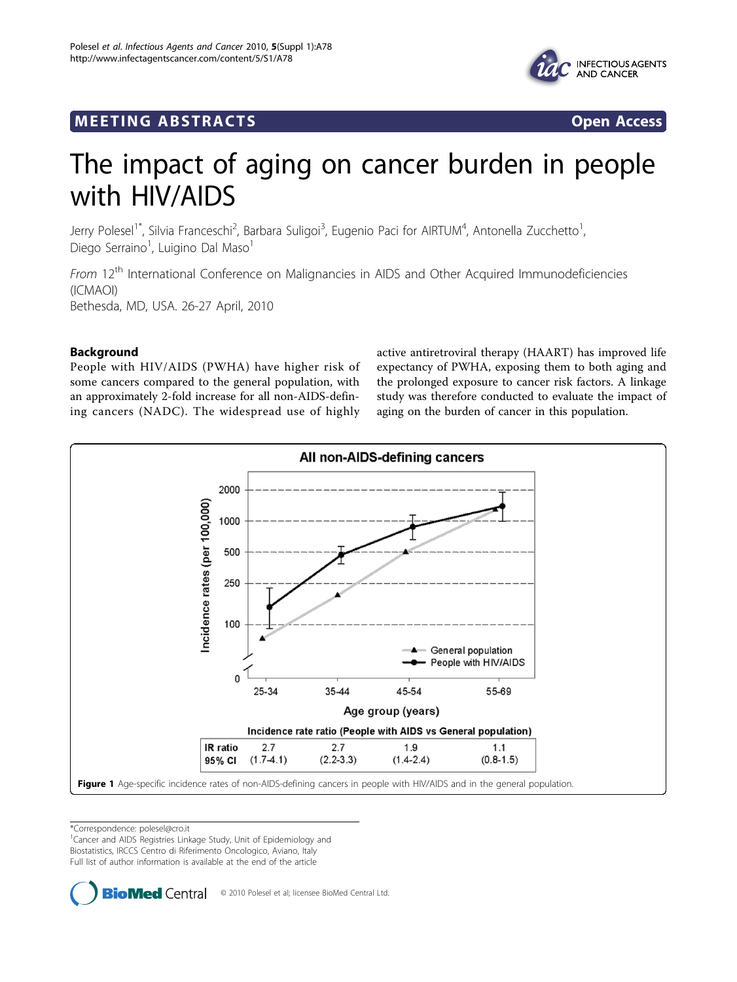

# <span id="page-0-0"></span>**MEETING ABSTRACTS** And the state of the state of the state of the state of the state of the state of the state o



# The impact of aging on cancer burden in people with HIV/AIDS

Jerry Polesel<sup>1\*</sup>, Silvia Franceschi<sup>2</sup>, Barbara Suligoi<sup>3</sup>, Eugenio Paci for AIRTUM<sup>4</sup>, Antonella Zucchetto<sup>1</sup> , Diego Serraino<sup>1</sup>, Luigino Dal Maso<sup>1</sup>

From 12<sup>th</sup> International Conference on Malignancies in AIDS and Other Acquired Immunodeficiencies (ICMAOI) Bethesda, MD, USA. 26-27 April, 2010

# Background

People with HIV/AIDS (PWHA) have higher risk of some cancers compared to the general population, with an approximately 2-fold increase for all non-AIDS-defining cancers (NADC). The widespread use of highly

active antiretroviral therapy (HAART) has improved life expectancy of PWHA, exposing them to both aging and the prolonged exposure to cancer risk factors. A linkage study was therefore conducted to evaluate the impact of aging on the burden of cancer in this population.



\*Correspondence: [polesel@cro.it](mailto:polesel@cro.it)

<sup>1</sup> Cancer and AIDS Registries Linkage Study, Unit of Epidemiology and Biostatistics, IRCCS Centro di Riferimento Oncologico, Aviano, Italy Full list of author information is available at the end of the article